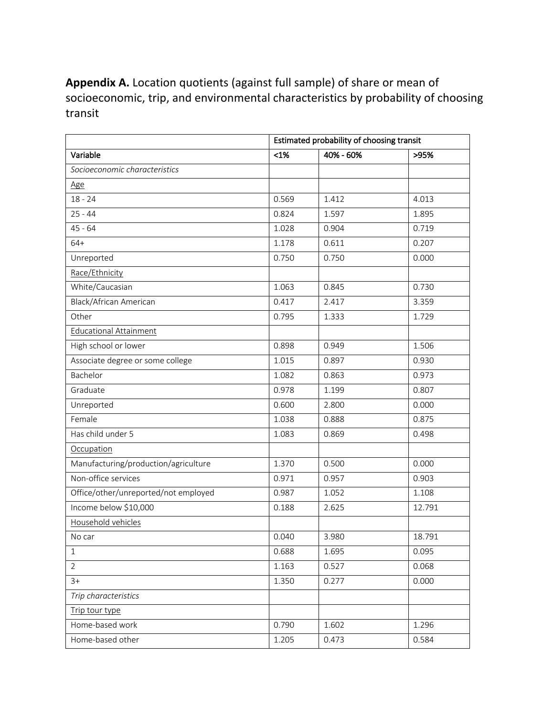**Appendix A.** Location quotients (against full sample) of share or mean of socioeconomic, trip, and environmental characteristics by probability of choosing transit

|                                      | Estimated probability of choosing transit |           |        |
|--------------------------------------|-------------------------------------------|-----------|--------|
| Variable                             | $<1\%$                                    | 40% - 60% | >95%   |
| Socioeconomic characteristics        |                                           |           |        |
| Age                                  |                                           |           |        |
| $18 - 24$                            | 0.569                                     | 1.412     | 4.013  |
| $25 - 44$                            | 0.824                                     | 1.597     | 1.895  |
| $45 - 64$                            | 1.028                                     | 0.904     | 0.719  |
| $64+$                                | 1.178                                     | 0.611     | 0.207  |
| Unreported                           | 0.750                                     | 0.750     | 0.000  |
| Race/Ethnicity                       |                                           |           |        |
| White/Caucasian                      | 1.063                                     | 0.845     | 0.730  |
| Black/African American               | 0.417                                     | 2.417     | 3.359  |
| Other                                | 0.795                                     | 1.333     | 1.729  |
| <b>Educational Attainment</b>        |                                           |           |        |
| High school or lower                 | 0.898                                     | 0.949     | 1.506  |
| Associate degree or some college     | 1.015                                     | 0.897     | 0.930  |
| Bachelor                             | 1.082                                     | 0.863     | 0.973  |
| Graduate                             | 0.978                                     | 1.199     | 0.807  |
| Unreported                           | 0.600                                     | 2.800     | 0.000  |
| Female                               | 1.038                                     | 0.888     | 0.875  |
| Has child under 5                    | 1.083                                     | 0.869     | 0.498  |
| Occupation                           |                                           |           |        |
| Manufacturing/production/agriculture | 1.370                                     | 0.500     | 0.000  |
| Non-office services                  | 0.971                                     | 0.957     | 0.903  |
| Office/other/unreported/not employed | 0.987                                     | 1.052     | 1.108  |
| Income below \$10,000                | 0.188                                     | 2.625     | 12.791 |
| Household vehicles                   |                                           |           |        |
| No car                               | 0.040                                     | 3.980     | 18.791 |
| $\mathbf{1}$                         | 0.688                                     | 1.695     | 0.095  |
| 2                                    | 1.163                                     | 0.527     | 0.068  |
| $3+$                                 | 1.350                                     | 0.277     | 0.000  |
| Trip characteristics                 |                                           |           |        |
| Trip tour type                       |                                           |           |        |
| Home-based work                      | 0.790                                     | 1.602     | 1.296  |
| Home-based other                     | 1.205                                     | 0.473     | 0.584  |